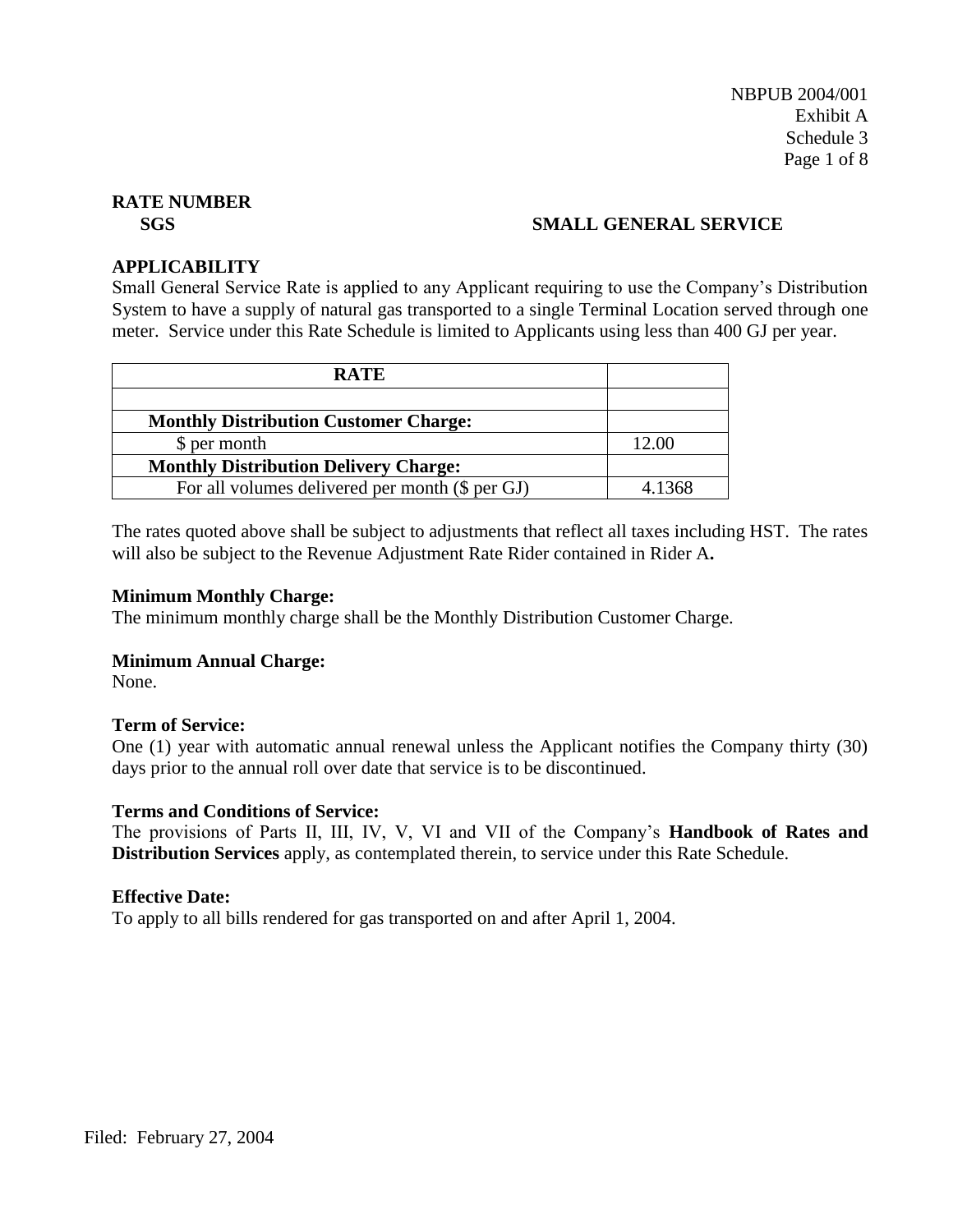# **SGS SMALL GENERAL SERVICE**

#### **APPLICABILITY**

Small General Service Rate is applied to any Applicant requiring to use the Company's Distribution System to have a supply of natural gas transported to a single Terminal Location served through one meter. Service under this Rate Schedule is limited to Applicants using less than 400 GJ per year.

| <b>RATE</b>                                     |        |
|-------------------------------------------------|--------|
|                                                 |        |
| <b>Monthly Distribution Customer Charge:</b>    |        |
| \$ per month                                    | 12.00  |
| <b>Monthly Distribution Delivery Charge:</b>    |        |
| For all volumes delivered per month (\$ per GJ) | 4 1368 |

The rates quoted above shall be subject to adjustments that reflect all taxes including HST. The rates will also be subject to the Revenue Adjustment Rate Rider contained in Rider A**.**

#### **Minimum Monthly Charge:**

The minimum monthly charge shall be the Monthly Distribution Customer Charge.

# **Minimum Annual Charge:**

None.

# **Term of Service:**

One (1) year with automatic annual renewal unless the Applicant notifies the Company thirty (30) days prior to the annual roll over date that service is to be discontinued.

#### **Terms and Conditions of Service:**

The provisions of Parts II, III, IV, V, VI and VII of the Company's **Handbook of Rates and Distribution Services** apply, as contemplated therein, to service under this Rate Schedule.

#### **Effective Date:**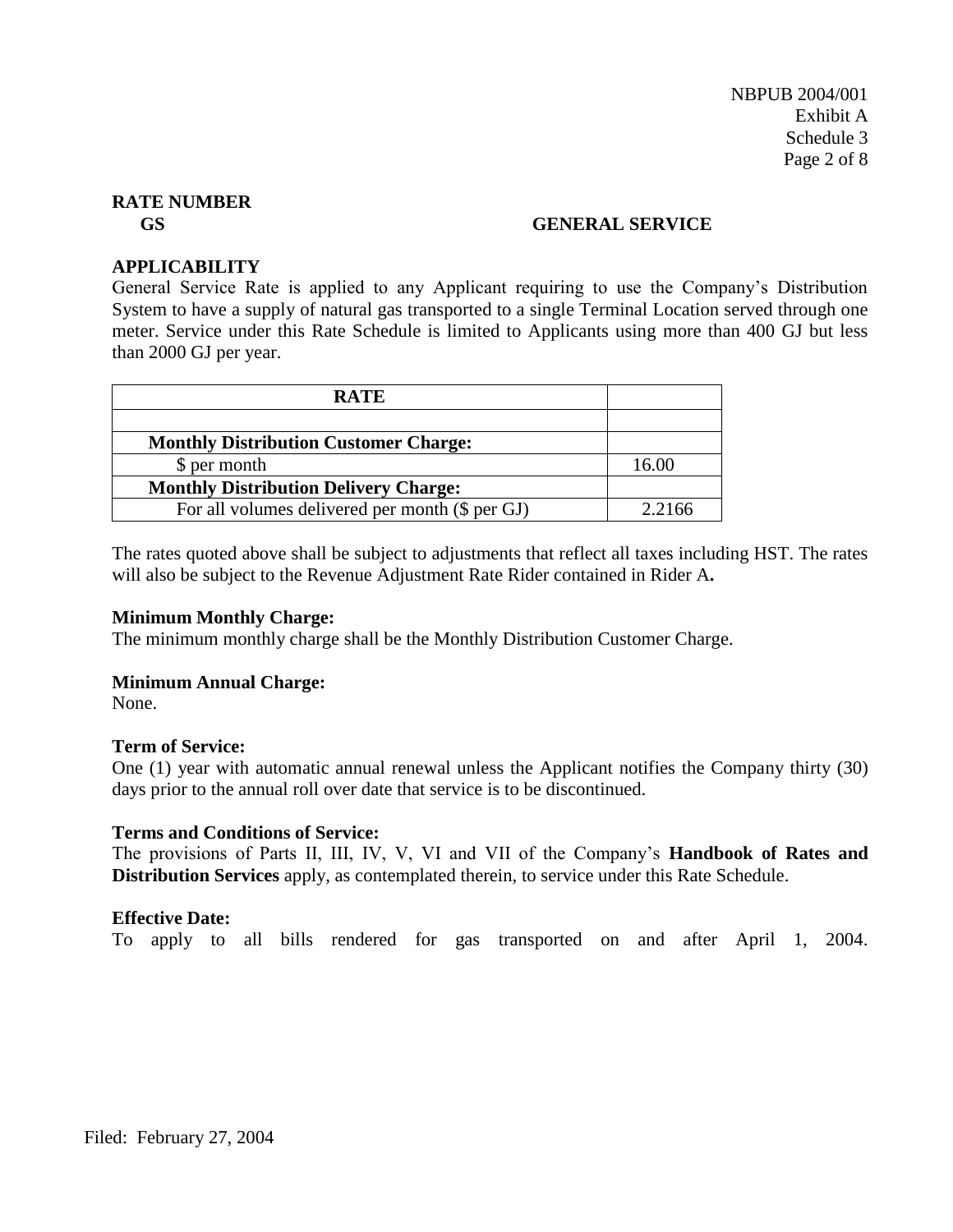#### **GS GENERAL SERVICE**

# **APPLICABILITY**

General Service Rate is applied to any Applicant requiring to use the Company's Distribution System to have a supply of natural gas transported to a single Terminal Location served through one meter. Service under this Rate Schedule is limited to Applicants using more than 400 GJ but less than 2000 GJ per year.

| <b>RATE</b>                                     |        |
|-------------------------------------------------|--------|
|                                                 |        |
| <b>Monthly Distribution Customer Charge:</b>    |        |
| \$ per month                                    | 16.00  |
| <b>Monthly Distribution Delivery Charge:</b>    |        |
| For all volumes delivered per month (\$ per GJ) | 2.2166 |

The rates quoted above shall be subject to adjustments that reflect all taxes including HST. The rates will also be subject to the Revenue Adjustment Rate Rider contained in Rider A**.**

#### **Minimum Monthly Charge:**

The minimum monthly charge shall be the Monthly Distribution Customer Charge.

#### **Minimum Annual Charge:**

None.

# **Term of Service:**

One (1) year with automatic annual renewal unless the Applicant notifies the Company thirty (30) days prior to the annual roll over date that service is to be discontinued.

# **Terms and Conditions of Service:**

The provisions of Parts II, III, IV, V, VI and VII of the Company's **Handbook of Rates and Distribution Services** apply, as contemplated therein, to service under this Rate Schedule.

# **Effective Date:**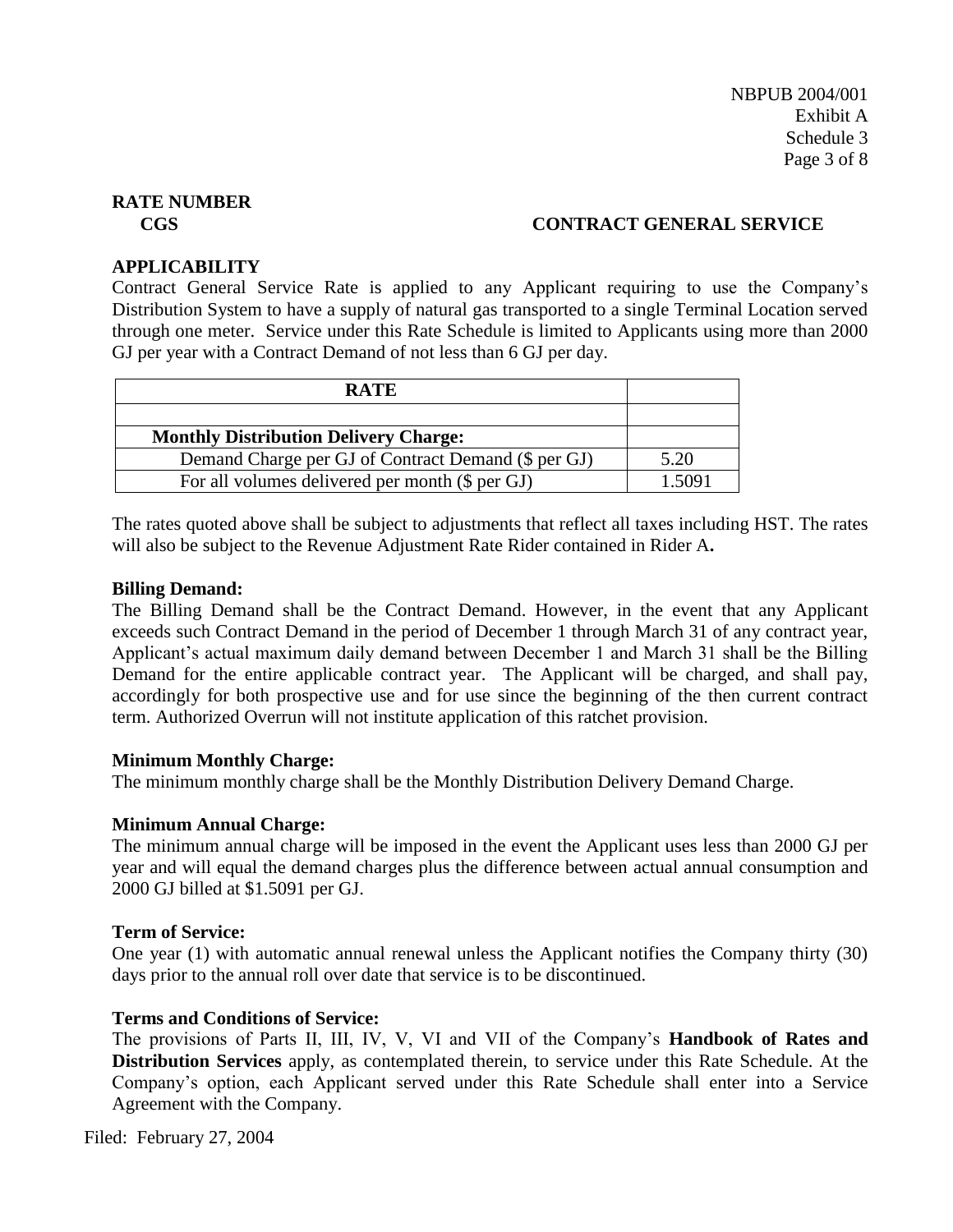# **CGS CONTRACT GENERAL SERVICE**

# **APPLICABILITY**

Contract General Service Rate is applied to any Applicant requiring to use the Company's Distribution System to have a supply of natural gas transported to a single Terminal Location served through one meter. Service under this Rate Schedule is limited to Applicants using more than 2000 GJ per year with a Contract Demand of not less than 6 GJ per day.

| <b>RATE</b>                                         |        |
|-----------------------------------------------------|--------|
|                                                     |        |
| <b>Monthly Distribution Delivery Charge:</b>        |        |
| Demand Charge per GJ of Contract Demand (\$ per GJ) | 5.20   |
| For all volumes delivered per month (\$ per GJ)     | 1.5091 |

The rates quoted above shall be subject to adjustments that reflect all taxes including HST. The rates will also be subject to the Revenue Adjustment Rate Rider contained in Rider A**.**

# **Billing Demand:**

The Billing Demand shall be the Contract Demand. However, in the event that any Applicant exceeds such Contract Demand in the period of December 1 through March 31 of any contract year, Applicant's actual maximum daily demand between December 1 and March 31 shall be the Billing Demand for the entire applicable contract year. The Applicant will be charged, and shall pay, accordingly for both prospective use and for use since the beginning of the then current contract term. Authorized Overrun will not institute application of this ratchet provision.

# **Minimum Monthly Charge:**

The minimum monthly charge shall be the Monthly Distribution Delivery Demand Charge.

# **Minimum Annual Charge:**

The minimum annual charge will be imposed in the event the Applicant uses less than 2000 GJ per year and will equal the demand charges plus the difference between actual annual consumption and 2000 GJ billed at \$1.5091 per GJ.

# **Term of Service:**

One year (1) with automatic annual renewal unless the Applicant notifies the Company thirty (30) days prior to the annual roll over date that service is to be discontinued.

# **Terms and Conditions of Service:**

The provisions of Parts II, III, IV, V, VI and VII of the Company's **Handbook of Rates and Distribution Services** apply, as contemplated therein, to service under this Rate Schedule. At the Company's option, each Applicant served under this Rate Schedule shall enter into a Service Agreement with the Company.

Filed: February 27, 2004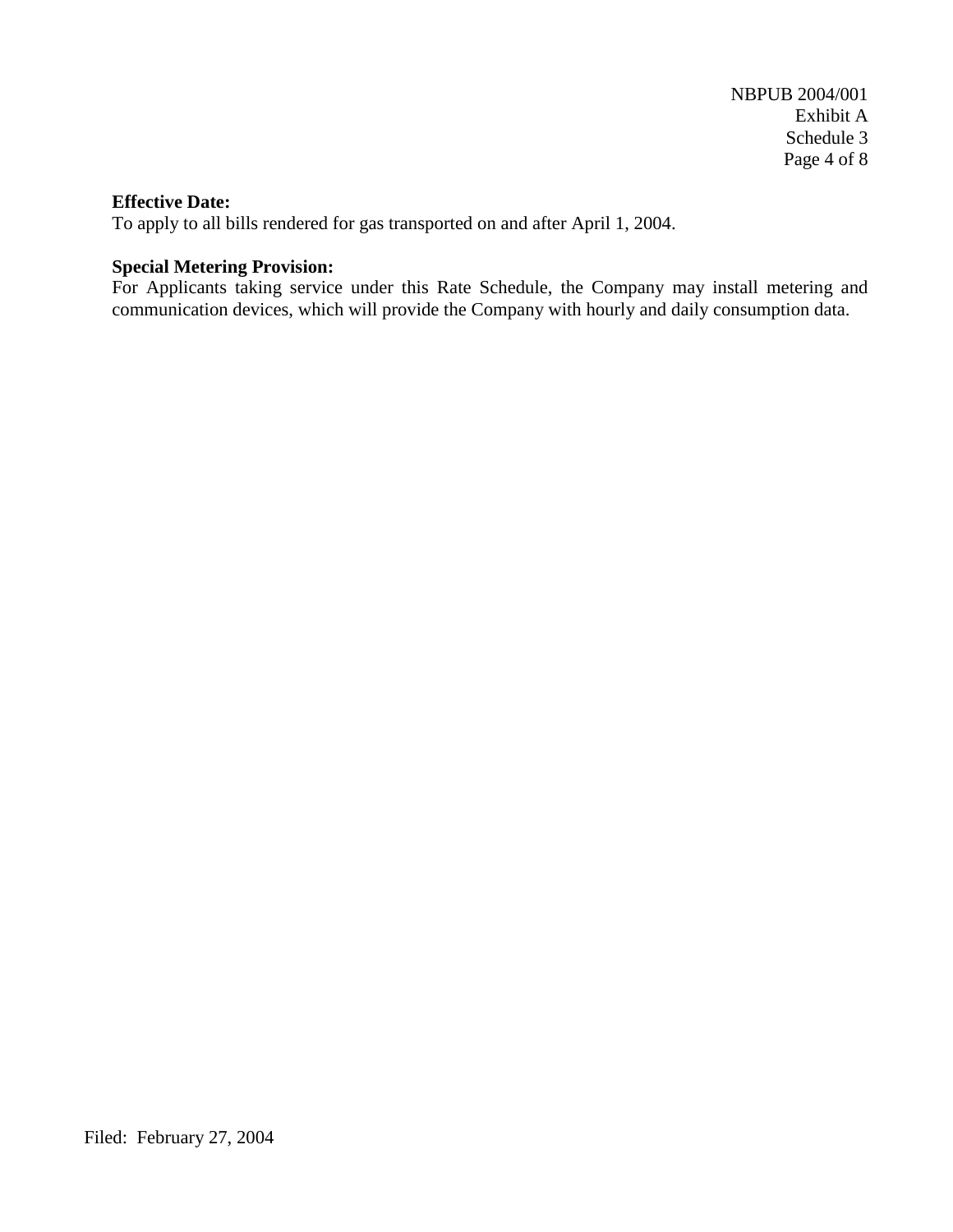#### **Effective Date:**

To apply to all bills rendered for gas transported on and after April 1, 2004.

# **Special Metering Provision:**

For Applicants taking service under this Rate Schedule, the Company may install metering and communication devices, which will provide the Company with hourly and daily consumption data.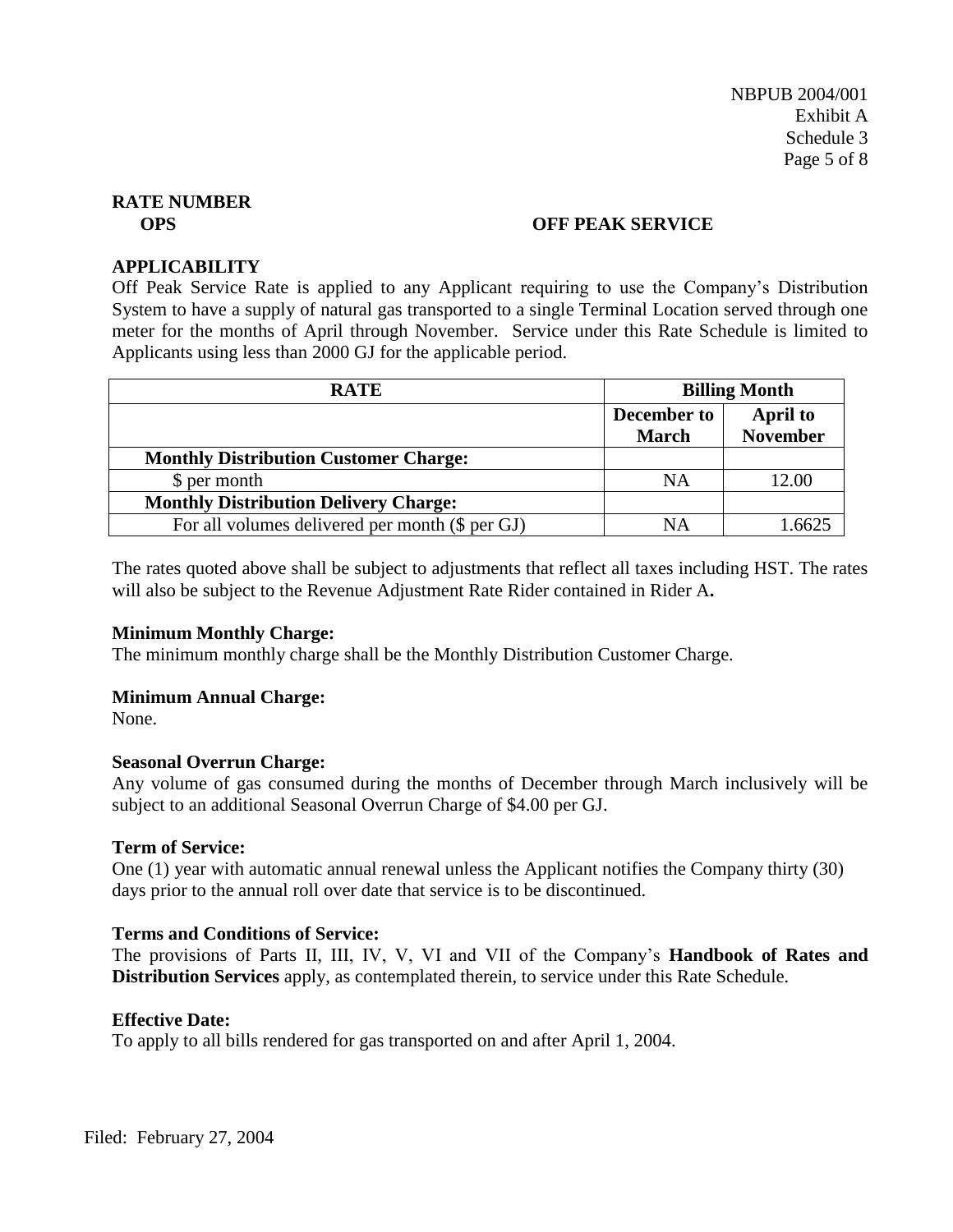#### **OPS OFF PEAK SERVICE**

#### **APPLICABILITY**

Off Peak Service Rate is applied to any Applicant requiring to use the Company's Distribution System to have a supply of natural gas transported to a single Terminal Location served through one meter for the months of April through November. Service under this Rate Schedule is limited to Applicants using less than 2000 GJ for the applicable period.

| <b>RATE</b>                                     | <b>Billing Month</b>        |                                    |
|-------------------------------------------------|-----------------------------|------------------------------------|
|                                                 | December to<br><b>March</b> | <b>April to</b><br><b>November</b> |
| <b>Monthly Distribution Customer Charge:</b>    |                             |                                    |
| \$ per month                                    | NA                          | 12.00                              |
| <b>Monthly Distribution Delivery Charge:</b>    |                             |                                    |
| For all volumes delivered per month (\$ per GJ) | NΑ                          |                                    |

The rates quoted above shall be subject to adjustments that reflect all taxes including HST. The rates will also be subject to the Revenue Adjustment Rate Rider contained in Rider A**.**

# **Minimum Monthly Charge:**

The minimum monthly charge shall be the Monthly Distribution Customer Charge.

# **Minimum Annual Charge:**

None.

#### **Seasonal Overrun Charge:**

Any volume of gas consumed during the months of December through March inclusively will be subject to an additional Seasonal Overrun Charge of \$4.00 per GJ.

#### **Term of Service:**

One (1) year with automatic annual renewal unless the Applicant notifies the Company thirty (30) days prior to the annual roll over date that service is to be discontinued.

# **Terms and Conditions of Service:**

The provisions of Parts II, III, IV, V, VI and VII of the Company's **Handbook of Rates and Distribution Services** apply, as contemplated therein, to service under this Rate Schedule.

# **Effective Date:**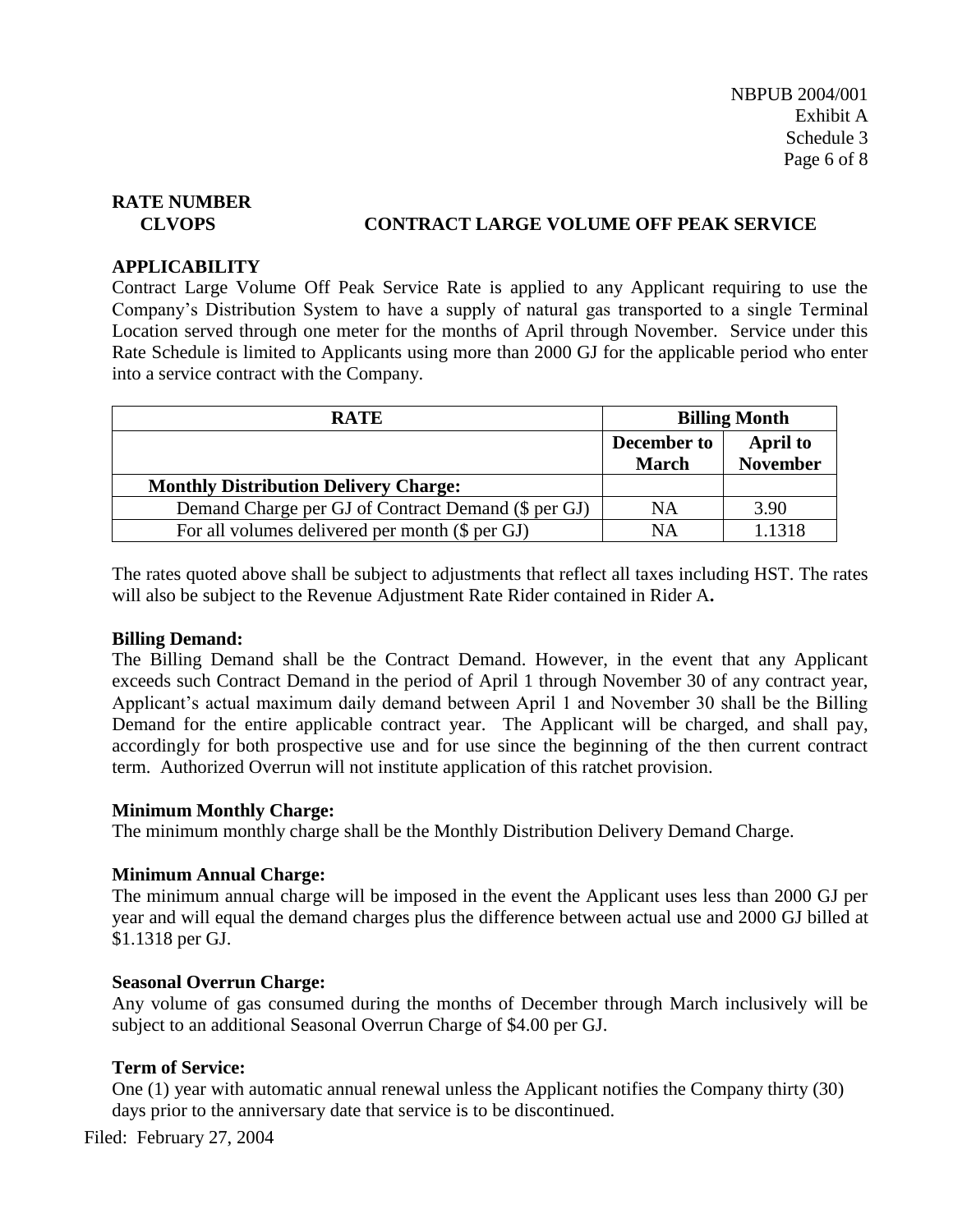# **CLVOPS CONTRACT LARGE VOLUME OFF PEAK SERVICE**

#### **APPLICABILITY**

Contract Large Volume Off Peak Service Rate is applied to any Applicant requiring to use the Company's Distribution System to have a supply of natural gas transported to a single Terminal Location served through one meter for the months of April through November. Service under this Rate Schedule is limited to Applicants using more than 2000 GJ for the applicable period who enter into a service contract with the Company.

| <b>RATE</b>                                         | <b>Billing Month</b> |                 |
|-----------------------------------------------------|----------------------|-----------------|
|                                                     | December to          | <b>April to</b> |
|                                                     | <b>March</b>         | <b>November</b> |
| <b>Monthly Distribution Delivery Charge:</b>        |                      |                 |
| Demand Charge per GJ of Contract Demand (\$ per GJ) | NA                   | 3.90            |
| For all volumes delivered per month (\$ per GJ)     | <b>NA</b>            | 1.1318          |

The rates quoted above shall be subject to adjustments that reflect all taxes including HST. The rates will also be subject to the Revenue Adjustment Rate Rider contained in Rider A**.**

# **Billing Demand:**

The Billing Demand shall be the Contract Demand. However, in the event that any Applicant exceeds such Contract Demand in the period of April 1 through November 30 of any contract year, Applicant's actual maximum daily demand between April 1 and November 30 shall be the Billing Demand for the entire applicable contract year. The Applicant will be charged, and shall pay, accordingly for both prospective use and for use since the beginning of the then current contract term. Authorized Overrun will not institute application of this ratchet provision.

#### **Minimum Monthly Charge:**

The minimum monthly charge shall be the Monthly Distribution Delivery Demand Charge.

# **Minimum Annual Charge:**

The minimum annual charge will be imposed in the event the Applicant uses less than 2000 GJ per year and will equal the demand charges plus the difference between actual use and 2000 GJ billed at \$1.1318 per GJ.

#### **Seasonal Overrun Charge:**

Any volume of gas consumed during the months of December through March inclusively will be subject to an additional Seasonal Overrun Charge of \$4.00 per GJ.

# **Term of Service:**

One (1) year with automatic annual renewal unless the Applicant notifies the Company thirty (30) days prior to the anniversary date that service is to be discontinued.

Filed: February 27, 2004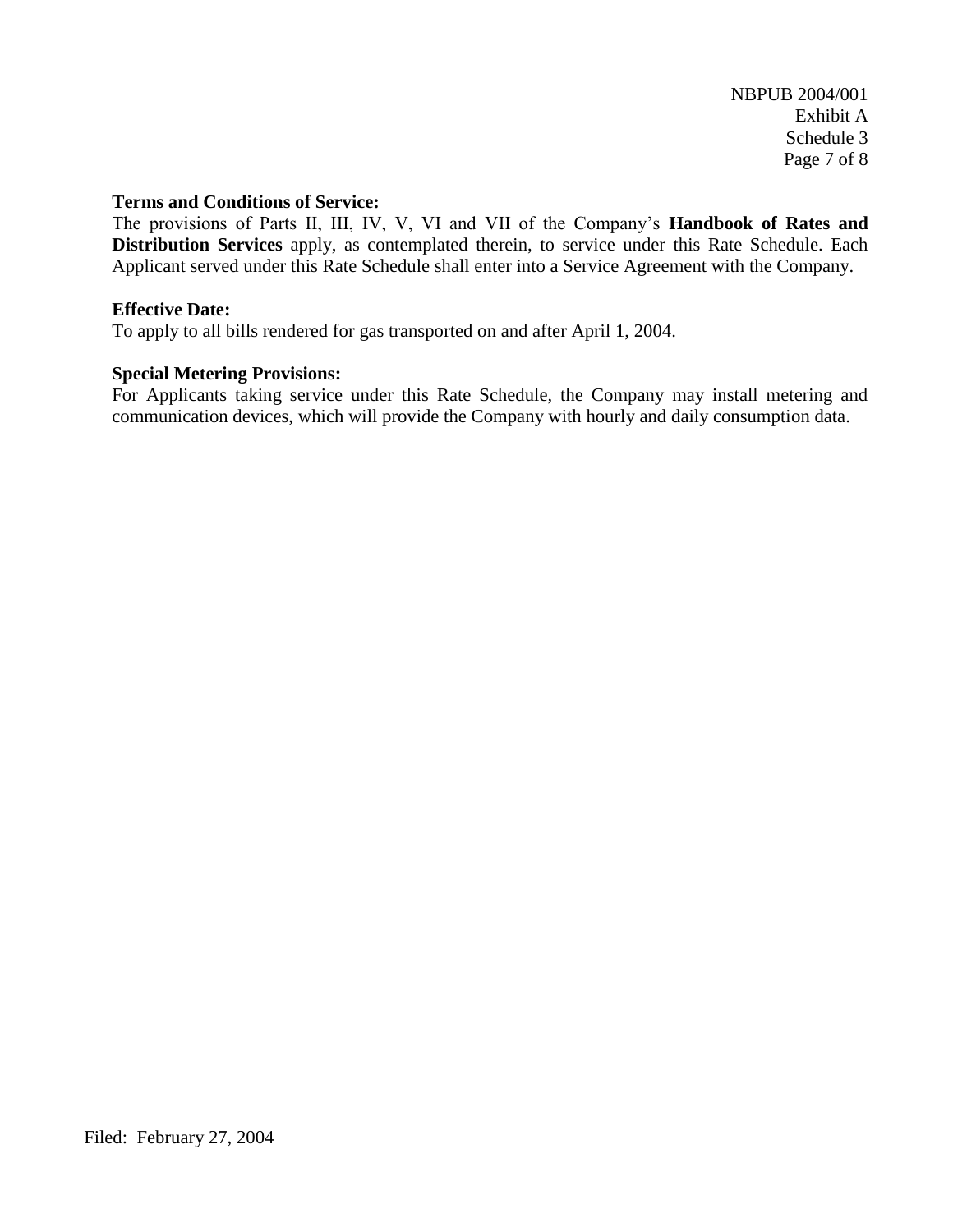#### **Terms and Conditions of Service:**

The provisions of Parts II, III, IV, V, VI and VII of the Company's **Handbook of Rates and Distribution Services** apply, as contemplated therein, to service under this Rate Schedule. Each Applicant served under this Rate Schedule shall enter into a Service Agreement with the Company.

#### **Effective Date:**

To apply to all bills rendered for gas transported on and after April 1, 2004.

# **Special Metering Provisions:**

For Applicants taking service under this Rate Schedule, the Company may install metering and communication devices, which will provide the Company with hourly and daily consumption data.